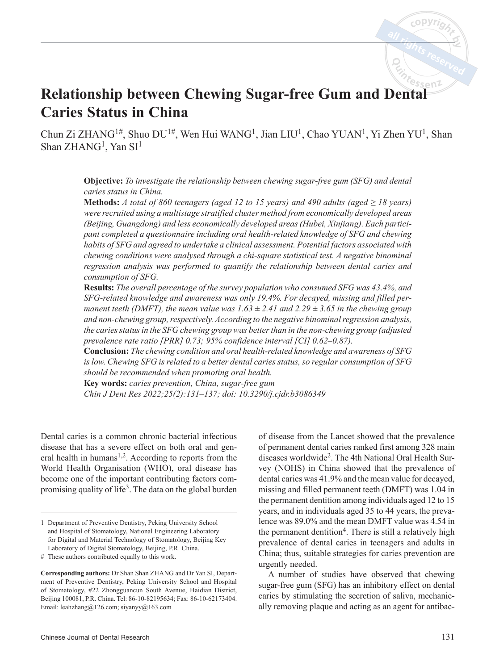# <sup>0</sup>ssen2 **Relationship between Chewing Sugar-free Gum and Dental Caries Status in China**

Chun Zi ZHANG<sup>1#</sup>, Shuo DU<sup>1#</sup>, Wen Hui WANG<sup>1</sup>, Jian LIU<sup>1</sup>, Chao YUAN<sup>1</sup>, Yi Zhen YU<sup>1</sup>, Shan Shan  $ZHANG<sup>1</sup>$ , Yan  $SI<sup>1</sup>$ 

> **Objective:** *To investigate the relationship between chewing sugar-free gum (SFG) and dental caries status in China.*

> **Methods:** *A total of 860 teenagers (aged 12 to 15 years) and 490 adults (aged ≥ 18 years) were recruited using a multistage stratified cluster method from economically developed areas (Beijing, Guangdong) and less economically developed areas (Hubei, Xinjiang). Each participant completed a questionnaire including oral health-related knowledge of SFG and chewing habits of SFG and agreed to undertake a clinical assessment. Potential factors associated with chewing conditions were analysed through a chi-square statistical test. A negative binominal regression analysis was performed to quantify the relationship between dental caries and consumption of SFG.*

> **Results:** *The overall percentage of the survey population who consumed SFG was 43.4%, and SFG-related knowledge and awareness was only 19.4%. For decayed, missing and filled permanent teeth (DMFT), the mean value was*  $1.63 \pm 2.41$  *and*  $2.29 \pm 3.65$  *in the chewing group and non-chewing group, respectively. According to the negative binominal regression analysis, the caries status in the SFG chewing group was better than in the non-chewing group (adjusted prevalence rate ratio [PRR] 0.73; 95% confidence interval [CI] 0.62–0.87).*

> **Conclusion:** *The chewing condition and oral health-related knowledge and awareness of SFG is low. Chewing SFG is related to a better dental caries status, so regular consumption of SFG should be recommended when promoting oral health.*

**Key words:** *caries prevention, China, sugar-free gum Chin J Dent Res 2022;25(2):131–137; doi: 10.3290/j.cjdr.b3086349*

Dental caries is a common chronic bacterial infectious disease that has a severe effect on both oral and general health in humans<sup>1,2</sup>. According to reports from the World Health Organisation (WHO), oral disease has become one of the important contributing factors compromising quality of life<sup>3</sup>. The data on the global burden of disease from the Lancet showed that the prevalence of permanent dental caries ranked first among 328 main diseases worldwide2. The 4th National Oral Health Survey (NOHS) in China showed that the prevalence of dental caries was 41.9% and the mean value for decayed, missing and filled permanent teeth (DMFT) was 1.04 in the permanent dentition among individuals aged 12 to 15 years, and in individuals aged 35 to 44 years, the prevalence was 89.0% and the mean DMFT value was 4.54 in the permanent dentition<sup>4</sup>. There is still a relatively high prevalence of dental caries in teenagers and adults in China; thus, suitable strategies for caries prevention are urgently needed.

A number of studies have observed that chewing sugar-free gum (SFG) has an inhibitory effect on dental caries by stimulating the secretion of saliva, mechanically removing plaque and acting as an agent for antibac-

<sup>1</sup> Department of Preventive Dentistry, Peking University School and Hospital of Stomatology, National Engineering Laboratory for Digital and Material Technology of Stomatology, Beijing Key Laboratory of Digital Stomatology, Beijing, P.R. China.

<sup>#</sup> These authors contributed equally to this work.

**Corresponding authors:** Dr Shan Shan ZHANG and Dr Yan SI, Department of Preventive Dentistry, Peking University School and Hospital of Stomatology, #22 Zhongguancun South Avenue, Haidian District, Beijing 100081, P.R. China. Tel: 86-10-82195634; Fax: 86-10-62173404. Email: leahzhang@126.com; siyanyy@163.com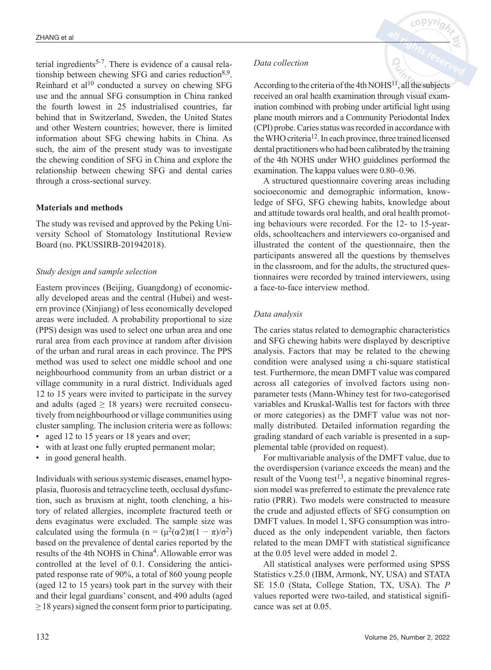terial ingredients<sup>5-7</sup>. There is evidence of a causal relationship between chewing SFG and caries reduction  $8.9$ . Reinhard et al<sup>10</sup> conducted a survey on chewing SFG use and the annual SFG consumption in China ranked the fourth lowest in 25 industrialised countries, far behind that in Switzerland, Sweden, the United States and other Western countries; however, there is limited information about SFG chewing habits in China. As such, the aim of the present study was to investigate the chewing condition of SFG in China and explore the relationship between chewing SFG and dental caries through a cross-sectional survey.

# **Materials and methods**

The study was revised and approved by the Peking University School of Stomatology Institutional Review Board (no. PKUSSIRB-201942018).

# *Study design and sample selection*

Eastern provinces (Beijing, Guangdong) of economically developed areas and the central (Hubei) and western province (Xinjiang) of less economically developed areas were included. A probability proportional to size (PPS) design was used to select one urban area and one rural area from each province at random after division of the urban and rural areas in each province. The PPS method was used to select one middle school and one neighbourhood community from an urban district or a village community in a rural district. Individuals aged 12 to 15 years were invited to participate in the survey and adults (aged  $\geq$  18 years) were recruited consecutively from neighbourhood or village communities using cluster sampling. The inclusion criteria were as follows:

- aged 12 to 15 years or 18 years and over;
- with at least one fully erupted permanent molar;
- in good general health.

Individuals with serious systemic diseases, enamel hypoplasia, fluorosis and tetracycline teeth, occlusal dysfunction, such as bruxism at night, tooth clenching, a history of related allergies, incomplete fractured teeth or dens evaginatus were excluded. The sample size was calculated using the formula (n =  $(\mu^2(\alpha/2)\pi(1-\pi)/\sigma^2)$ ) based on the prevalence of dental caries reported by the results of the 4th NOHS in China<sup>4</sup>. Allowable error was controlled at the level of 0.1. Considering the anticipated response rate of 90%, a total of 860 young people (aged 12 to 15 years) took part in the survey with their and their legal guardians' consent, and 490 adults (aged  $\geq$  18 years) signed the consent form prior to participating.

## *Data collection*

According to the criteria of the 4th  $NOHS<sup>11</sup>$ , all the subjects received an oral health examination through visual examination combined with probing under artificial light using plane mouth mirrors and a Community Periodontal Index (CPI) probe. Caries status was recorded in accordance with the WHO criteria12. In each province, three trained licensed dental practitioners who had been calibrated by the training of the 4th NOHS under WHO guidelines performed the examination. The kappa values were 0.80~0.96.

A structured questionnaire covering areas including socioeconomic and demographic information, knowledge of SFG, SFG chewing habits, knowledge about and attitude towards oral health, and oral health promoting behaviours were recorded. For the 12- to 15-yearolds, schoolteachers and interviewers co-organised and illustrated the content of the questionnaire, then the participants answered all the questions by themselves in the classroom, and for the adults, the structured questionnaires were recorded by trained interviewers, using a face-to-face interview method.

## *Data analysis*

The caries status related to demographic characteristics and SFG chewing habits were displayed by descriptive analysis. Factors that may be related to the chewing condition were analysed using a chi-square statistical test. Furthermore, the mean DMFT value was compared across all categories of involved factors using nonparameter tests (Mann-Whiney test for two-categorised variables and Kruskal-Wallis test for factors with three or more categories) as the DMFT value was not normally distributed. Detailed information regarding the grading standard of each variable is presented in a supplemental table (provided on request).

For multivariable analysis of the DMFT value, due to the overdispersion (variance exceeds the mean) and the result of the Vuong test<sup>13</sup>, a negative binominal regression model was preferred to estimate the prevalence rate ratio (PRR). Two models were constructed to measure the crude and adjusted effects of SFG consumption on DMFT values. In model 1, SFG consumption was introduced as the only independent variable, then factors related to the mean DMFT with statistical significance at the 0.05 level were added in model 2.

All statistical analyses were performed using SPSS Statistics v.25.0 (IBM, Armonk, NY, USA) and STATA SE 15.0 (Stata, College Station, TX, USA). The *P* values reported were two-tailed, and statistical significance was set at 0.05.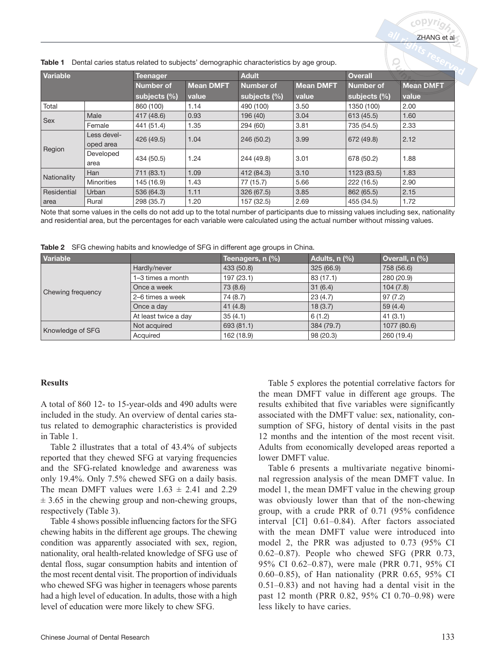Table 1 Dental caries status related to subjects' demographic characteristics by age group.

|                 |                          |                  |                  |                  |                  |                  | <b>Carlos</b>    |
|-----------------|--------------------------|------------------|------------------|------------------|------------------|------------------|------------------|
| <b>Variable</b> |                          | <b>Teenager</b>  |                  | <b>Adult</b>     |                  | <b>Overall</b>   |                  |
|                 |                          | <b>Number of</b> | <b>Mean DMFT</b> | <b>Number of</b> | <b>Mean DMFT</b> | <b>Number of</b> | <b>Mean DMFT</b> |
|                 |                          | subjects $(\%)$  | value            | subjects $(\%)$  | value            | subjects $(\%)$  | value            |
| Total           |                          | 860 (100)        | 1.14             | 490 (100)        | 3.50             | 1350 (100)       | 2.00             |
|                 | Male                     | 417 (48.6)       | 0.93             | 196 (40)         | 3.04             | 613(45.5)        | 1.60             |
| Sex             | Female                   | 441 (51.4)       | 1.35             | 294 (60)         | 3.81             | 735 (54.5)       | 2.33             |
| Region          | Less devel-<br>oped area | 426 (49.5)       | 1.04             | 246 (50.2)       | 3.99             | 672 (49.8)       | 2.12             |
|                 | Developed<br>area        | 434 (50.5)       | 1.24             | 244 (49.8)       | 3.01             | 678 (50.2)       | 1.88             |
|                 | Han                      | 711 (83.1)       | 1.09             | 412 (84.3)       | 3.10             | 1123 (83.5)      | 1.83             |
| Nationality     | <b>Minorities</b>        | 145 (16.9)       | 1.43             | 77 (15.7)        | 5.66             | 222 (16.5)       | 2.90             |
| Residential     | Urban                    | 536 (64.3)       | 1.11             | 326 (67.5)       | 3.85             | 862 (65.5)       | 2.15             |
| area            | Rural                    | 298 (35.7)       | 1.20             | 157 (32.5)       | 2.69             | 455 (34.5)       | 1.72             |

Note that some values in the cells do not add up to the total number of participants due to missing values including sex, nationality and residential area, but the percentages for each variable were calculated using the actual number without missing values.

Table 2 SFG chewing habits and knowledge of SFG in different age groups in China.

| Variable          |                      | Teenagers, $n$ (%) | Adults, n (%) | Overall, $n$ $%$ |
|-------------------|----------------------|--------------------|---------------|------------------|
|                   | Hardly/never         | 433 (50.8)         | 325 (66.9)    | 758 (56.6)       |
|                   | 1-3 times a month    | 197 (23.1)         | 83 (17.1)     | 280 (20.9)       |
| Chewing frequency | Once a week          | 73 (8.6)           | 31(6.4)       | 104(7.8)         |
|                   | 2–6 times a week     | 74 (8.7)           | 23(4.7)       | 97(7.2)          |
|                   | Once a day           | 41(4.8)            | 18(3.7)       | 59(4.4)          |
|                   | At least twice a day | 35(4.1)            | 6(1.2)        | 41(3.1)          |
| Knowledge of SFG  | Not acquired         | 693(81.1)          | 384 (79.7)    | 1077 (80.6)      |
|                   | Acquired             | 162 (18.9)         | 98(20.3)      | 260 (19.4)       |

# **Results**

A total of 860 12- to 15-year-olds and 490 adults were included in the study. An overview of dental caries status related to demographic characteristics is provided in Table 1.

Table 2 illustrates that a total of 43.4% of subjects reported that they chewed SFG at varying frequencies and the SFG-related knowledge and awareness was only 19.4%. Only 7.5% chewed SFG on a daily basis. The mean DMFT values were  $1.63 \pm 2.41$  and 2.29  $\pm$  3.65 in the chewing group and non-chewing groups, respectively (Table 3).

Table 4 shows possible influencing factors for the SFG chewing habits in the different age groups. The chewing condition was apparently associated with sex, region, nationality, oral health-related knowledge of SFG use of dental floss, sugar consumption habits and intention of the most recent dental visit. The proportion of individuals who chewed SFG was higher in teenagers whose parents had a high level of education. In adults, those with a high level of education were more likely to chew SFG.

Table 5 explores the potential correlative factors for the mean DMFT value in different age groups. The results exhibited that five variables were significantly associated with the DMFT value: sex, nationality, consumption of SFG, history of dental visits in the past 12 months and the intention of the most recent visit. Adults from economically developed areas reported a lower DMFT value.

Table 6 presents a multivariate negative binominal regression analysis of the mean DMFT value. In model 1, the mean DMFT value in the chewing group was obviously lower than that of the non-chewing group, with a crude PRR of 0.71 (95% confidence interval [CI] 0.61–0.84). After factors associated with the mean DMFT value were introduced into model 2, the PRR was adjusted to 0.73 (95% CI 0.62–0.87). People who chewed SFG (PRR 0.73, 95% CI 0.62–0.87), were male (PRR 0.71, 95% CI 0.60–0.85), of Han nationality (PRR 0.65, 95% CI 0.51–0.83) and not having had a dental visit in the past 12 month (PRR 0.82, 95% CI 0.70–0.98) were less likely to have caries.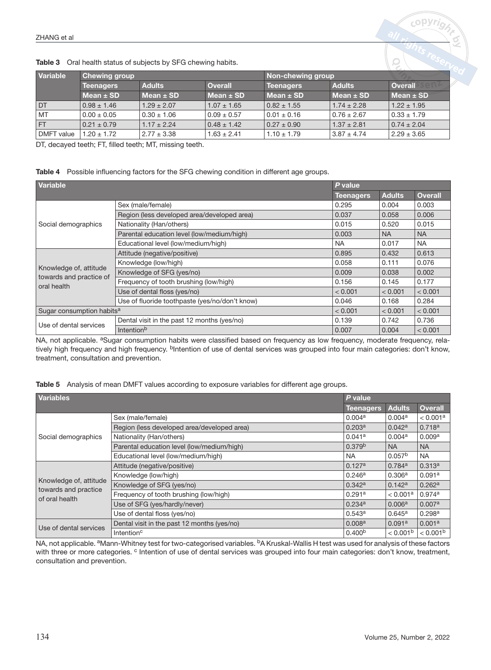| <b>Table 3</b> Oral nearth status of subjects by SFG chewing habits. |                      |                 |                 |                   |                 |                 |
|----------------------------------------------------------------------|----------------------|-----------------|-----------------|-------------------|-----------------|-----------------|
| Variable                                                             | <b>Chewing group</b> |                 |                 | Non-chewing group |                 |                 |
|                                                                      | <b>Teenagers</b>     | <b>Adults</b>   | <b>Overall</b>  | <b>Teenagers</b>  | <b>Adults</b>   | Overail         |
|                                                                      | Mean $\pm$ SD        | Mean $\pm$ SD   | Mean $\pm$ SD   | Mean $\pm$ SD     | $Mean \pm SD$   | Mean $\pm$ SD   |
| DT.                                                                  | $0.98 \pm 1.46$      | $1.29 \pm 2.07$ | $1.07 \pm 1.65$ | $0.82 \pm 1.55$   | $1.74 \pm 2.28$ | $1.22 \pm 1.95$ |
| <b>MT</b>                                                            | $0.00 \pm 0.05$      | $0.30 \pm 1.06$ | $0.09 \pm 0.57$ | $0.01 \pm 0.16$   | $0.76 \pm 2.67$ | $0.33 \pm 1.79$ |
| <b>FT</b>                                                            | $0.21 \pm 0.79$      | $1.17 \pm 2.24$ | $0.48 \pm 1.42$ | $0.27 \pm 0.90$   | $1.37 \pm 2.81$ | $0.74 \pm 2.04$ |
| DMFT value                                                           | $1.20 \pm 1.72$      | $2.77 \pm 3.38$ | $1.63 \pm 2.41$ | $1.10 \pm 1.79$   | $3.87 \pm 4.74$ | $2.29 \pm 3.65$ |

Table 3 Oral health status of subjects by SFG chewing habits.

DT, decayed teeth; FT, filled teeth; MT, missing teeth.

#### Table 4 Possible influencing factors for the SFG chewing condition in different age groups.

| Variable                                          |                                                |                  | $P$ value.    |                |  |
|---------------------------------------------------|------------------------------------------------|------------------|---------------|----------------|--|
|                                                   |                                                | <b>Teenagers</b> | <b>Adults</b> | <b>Overall</b> |  |
|                                                   | Sex (male/female)                              | 0.295            | 0.004         | 0.003          |  |
|                                                   | Region (less developed area/developed area)    | 0.037            | 0.058         | 0.006          |  |
| Social demographics                               | Nationality (Han/others)                       | 0.015            | 0.520         | 0.015          |  |
|                                                   | Parental education level (low/medium/high)     | 0.003            | <b>NA</b>     | <b>NA</b>      |  |
|                                                   | Educational level (low/medium/high)            | <b>NA</b>        | 0.017         | <b>NA</b>      |  |
|                                                   | Attitude (negative/positive)                   | 0.895            | 0.432         | 0.613          |  |
|                                                   | Knowledge (low/high)                           | 0.058            | 0.111         | 0.076          |  |
| Knowledge of, attitude<br>towards and practice of | Knowledge of SFG (yes/no)                      | 0.009            | 0.038         | 0.002          |  |
| oral health                                       | Frequency of tooth brushing (low/high)         | 0.156            | 0.145         | 0.177          |  |
|                                                   | Use of dental floss (yes/no)                   | < 0.001          | < 0.001       | < 0.001        |  |
|                                                   | Use of fluoride toothpaste (yes/no/don't know) | 0.046            | 0.168         | 0.284          |  |
| Sugar consumption habits <sup>a</sup>             |                                                | < 0.001          | < 0.001       | < 0.001        |  |
| Use of dental services                            | Dental visit in the past 12 months (yes/no)    | 0.139            | 0.742         | 0.736          |  |
|                                                   | Intention <sup>b</sup>                         | 0.007            | 0.004         | < 0.001        |  |

NA, not applicable. <sup>a</sup>Sugar consumption habits were classified based on frequency as low frequency, moderate frequency, relatively high frequency and high frequency. <sup>b</sup>Intention of use of dental services was grouped into four main categories: don't know, treatment, consultation and prevention.

|  |  |  | Table 5 Analysis of mean DMFT values according to exposure variables for different age groups. |
|--|--|--|------------------------------------------------------------------------------------------------|
|--|--|--|------------------------------------------------------------------------------------------------|

| <b>Variables</b>                               |                                             |                    | P value              |                      |  |
|------------------------------------------------|---------------------------------------------|--------------------|----------------------|----------------------|--|
|                                                |                                             | Teenagers          | <b>Adults</b>        | <b>Overall</b>       |  |
|                                                | Sex (male/female)                           | 0.004a             | 0.004a               | < 0.001a             |  |
|                                                | Region (less developed area/developed area) | 0.203 <sup>a</sup> | 0.042a               | 0.718a               |  |
| Social demographics                            | Nationality (Han/others)                    | 0.041a             | 0.004 <sup>a</sup>   | 0.009a               |  |
|                                                | Parental education level (low/medium/high)  | 0.379 <sup>b</sup> | <b>NA</b>            | <b>NA</b>            |  |
|                                                | Educational level (low/medium/high)         | <b>NA</b>          | 0.057 <sup>b</sup>   | <b>NA</b>            |  |
|                                                | Attitude (negative/positive)                | 0.127a             | 0.784a               | 0.313a               |  |
|                                                | Knowledge (low/high)                        | 0.246a             | 0.306a               | 0.091a               |  |
| Knowledge of, attitude<br>towards and practice | Knowledge of SFG (yes/no)                   | 0.342a             | 0.142a               | 0.262a               |  |
| of oral health                                 | Frequency of tooth brushing (low/high)      | 0.291a             | < 0.001 <sup>a</sup> | 0.974a               |  |
|                                                | Use of SFG (yes/hardly/never)               | 0.234a             | 0.006 <sup>a</sup>   | 0.007a               |  |
|                                                | Use of dental floss (yes/no)                | 0.543a             | $0.645^{\rm a}$      | 0.298a               |  |
| Use of dental services                         | Dental visit in the past 12 months (yes/no) | 0.008 <sup>a</sup> | 0.091 <sup>a</sup>   | 0.001 <sup>a</sup>   |  |
|                                                | Intention <sup>c</sup>                      | 0.400 <sup>b</sup> | < 0.001 <sup>b</sup> | < 0.001 <sup>b</sup> |  |

NA, not applicable. <sup>a</sup>Mann-Whitney test for two-categorised variables. <sup>b</sup>A Kruskal-Wallis H test was used for analysis of these factors with three or more categories. <sup>c</sup> Intention of use of dental services was grouped into four main categories: don't know, treatment, consultation and prevention.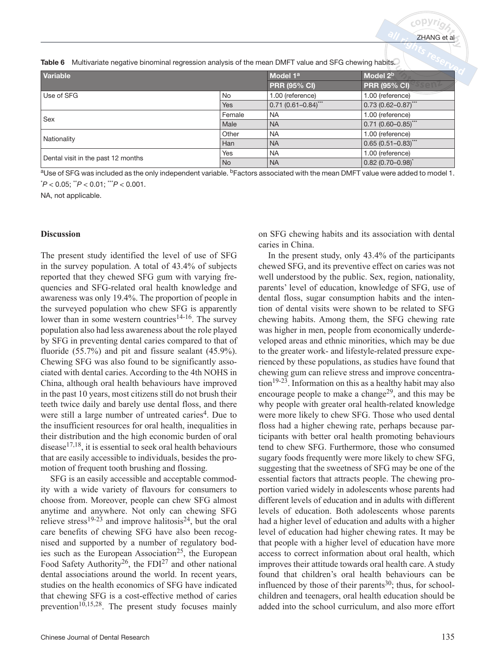|  |  |  |  | Table 6 Multivariate negative binominal regression analysis of the mean DMFT value and SFG chewing habits. |
|--|--|--|--|------------------------------------------------------------------------------------------------------------|
|--|--|--|--|------------------------------------------------------------------------------------------------------------|

| Variable                           |            | Model 1 <sup>a</sup>    | Model 2 <sup>b</sup>           |
|------------------------------------|------------|-------------------------|--------------------------------|
|                                    |            | <b>PRR (95% CI)</b>     | <b>PRR (95% CI)</b><br>sen     |
| Use of SFG                         | <b>No</b>  | 1.00 (reference)        | 1.00 (reference)               |
|                                    | <b>Yes</b> | $0.71(0.61 - 0.84)$ *** | $0.73(0.62 - 0.87)$ ***        |
| Sex                                | Female     | <b>NA</b>               | 1.00 (reference)               |
|                                    | Male       | <b>NA</b>               | $0.71(0.60 - 0.85)$ ***        |
|                                    | Other      | <b>NA</b>               | 1.00 (reference)               |
| Nationality                        | Han        | <b>NA</b>               | $0.65(0.51 - 0.83)$ ***        |
|                                    | Yes        | <b>NA</b>               | 1.00 (reference)               |
| Dental visit in the past 12 months | <b>No</b>  | <b>NA</b>               | $ 0.82(0.70 - 0.98)^{\dagger}$ |

<sup>a</sup>Use of SFG was included as the only independent variable. <sup>b</sup>Factors associated with the mean DMFT value were added to model 1. \* *P* < 0.05; \*\**P* < 0.01; \*\*\**P* < 0.001.

NA, not applicable.

#### **Discussion**

The present study identified the level of use of SFG in the survey population. A total of 43.4% of subjects reported that they chewed SFG gum with varying frequencies and SFG-related oral health knowledge and awareness was only 19.4%. The proportion of people in the surveyed population who chew SFG is apparently lower than in some western countries<sup>14-16</sup>. The survey population also had less awareness about the role played by SFG in preventing dental caries compared to that of fluoride (55.7%) and pit and fissure sealant (45.9%). Chewing SFG was also found to be significantly associated with dental caries. According to the 4th NOHS in China, although oral health behaviours have improved in the past 10 years, most citizens still do not brush their teeth twice daily and barely use dental floss, and there were still a large number of untreated caries<sup>4</sup>. Due to the insufficient resources for oral health, inequalities in their distribution and the high economic burden of oral disease $17,18$ , it is essential to seek oral health behaviours that are easily accessible to individuals, besides the promotion of frequent tooth brushing and flossing.

SFG is an easily accessible and acceptable commodity with a wide variety of flavours for consumers to choose from. Moreover, people can chew SFG almost anytime and anywhere. Not only can chewing SFG relieve stress<sup>19-23</sup> and improve halitosis<sup>24</sup>, but the oral care benefits of chewing SFG have also been recognised and supported by a number of regulatory bodies such as the European Association<sup>25</sup>, the European Food Safety Authority<sup>26</sup>, the FDI<sup>27</sup> and other national dental associations around the world. In recent years, studies on the health economics of SFG have indicated that chewing SFG is a cost-effective method of caries prevention<sup>10,15,28</sup>. The present study focuses mainly on SFG chewing habits and its association with dental caries in China.

In the present study, only 43.4% of the participants chewed SFG, and its preventive effect on caries was not well understood by the public. Sex, region, nationality, parents' level of education, knowledge of SFG, use of dental floss, sugar consumption habits and the intention of dental visits were shown to be related to SFG chewing habits. Among them, the SFG chewing rate was higher in men, people from economically underdeveloped areas and ethnic minorities, which may be due to the greater work- and lifestyle-related pressure experienced by these populations, as studies have found that chewing gum can relieve stress and improve concentra- $\mu$ <sub>19-23</sub>. Information on this as a healthy habit may also encourage people to make a change<sup>29</sup>, and this may be why people with greater oral health-related knowledge were more likely to chew SFG. Those who used dental floss had a higher chewing rate, perhaps because participants with better oral health promoting behaviours tend to chew SFG. Furthermore, those who consumed sugary foods frequently were more likely to chew SFG, suggesting that the sweetness of SFG may be one of the essential factors that attracts people. The chewing proportion varied widely in adolescents whose parents had different levels of education and in adults with different levels of education. Both adolescents whose parents had a higher level of education and adults with a higher level of education had higher chewing rates. It may be that people with a higher level of education have more access to correct information about oral health, which improves their attitude towards oral health care. A study found that children's oral health behaviours can be influenced by those of their parents<sup>30</sup>; thus, for schoolchildren and teenagers, oral health education should be added into the school curriculum, and also more effort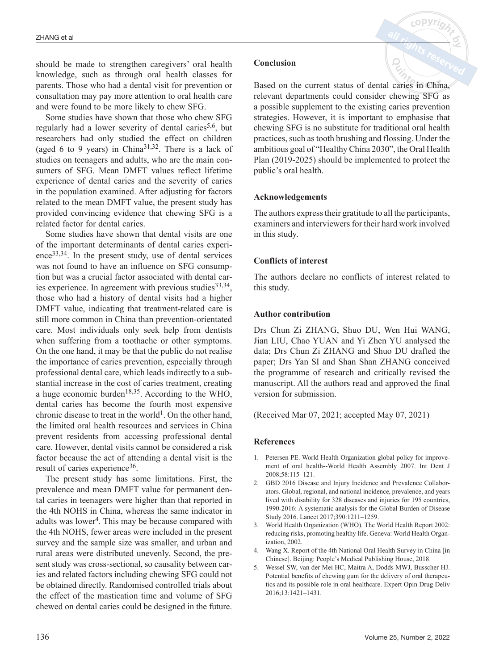should be made to strengthen caregivers' oral health knowledge, such as through oral health classes for parents. Those who had a dental visit for prevention or consultation may pay more attention to oral health care and were found to be more likely to chew SFG.

Some studies have shown that those who chew SFG regularly had a lower severity of dental caries<sup>5,6</sup>, but researchers had only studied the effect on children (aged 6 to 9 years) in China<sup>31,32</sup>. There is a lack of studies on teenagers and adults, who are the main consumers of SFG. Mean DMFT values reflect lifetime experience of dental caries and the severity of caries in the population examined. After adjusting for factors related to the mean DMFT value, the present study has provided convincing evidence that chewing SFG is a related factor for dental caries.

Some studies have shown that dental visits are one of the important determinants of dental caries experience $33,34$ . In the present study, use of dental services was not found to have an influence on SFG consumption but was a crucial factor associated with dental caries experience. In agreement with previous studies  $33,34$ , those who had a history of dental visits had a higher DMFT value, indicating that treatment-related care is still more common in China than prevention-orientated care. Most individuals only seek help from dentists when suffering from a toothache or other symptoms. On the one hand, it may be that the public do not realise the importance of caries prevention, especially through professional dental care, which leads indirectly to a substantial increase in the cost of caries treatment, creating a huge economic burden<sup>18,35</sup>. According to the WHO, dental caries has become the fourth most expensive chronic disease to treat in the world<sup>1</sup>. On the other hand, the limited oral health resources and services in China prevent residents from accessing professional dental care. However, dental visits cannot be considered a risk factor because the act of attending a dental visit is the result of caries experience<sup>36</sup>.

The present study has some limitations. First, the prevalence and mean DMFT value for permanent dental caries in teenagers were higher than that reported in the 4th NOHS in China, whereas the same indicator in adults was lower<sup>4</sup>. This may be because compared with the 4th NOHS, fewer areas were included in the present survey and the sample size was smaller, and urban and rural areas were distributed unevenly. Second, the present study was cross-sectional, so causality between caries and related factors including chewing SFG could not be obtained directly. Randomised controlled trials about the effect of the mastication time and volume of SFG chewed on dental caries could be designed in the future.

## **Conclusion**

Based on the current status of dental caries in China, relevant departments could consider chewing SFG as a possible supplement to the existing caries prevention strategies. However, it is important to emphasise that chewing SFG is no substitute for traditional oral health practices, such as tooth brushing and flossing. Under the ambitious goal of "Healthy China 2030", the Oral Health Plan (2019-2025) should be implemented to protect the public's oral health.

# **Acknowledgements**

The authors express their gratitude to all the participants, examiners and interviewers for their hard work involved in this study.

# **Conflicts of interest**

The authors declare no conflicts of interest related to this study.

## **Author contribution**

Drs Chun Zi ZHANG, Shuo DU, Wen Hui WANG, Jian LIU, Chao YUAN and Yi Zhen YU analysed the data; Drs Chun Zi ZHANG and Shuo DU drafted the paper; Drs Yan SI and Shan Shan ZHANG conceived the programme of research and critically revised the manuscript. All the authors read and approved the final version for submission.

(Received Mar 07, 2021; accepted May 07, 2021)

# **References**

- 1. Petersen PE. World Health Organization global policy for improvement of oral health--World Health Assembly 2007. Int Dent J 2008;58:115–121.
- 2. GBD 2016 Disease and Injury Incidence and Prevalence Collaborators. Global, regional, and national incidence, prevalence, and years lived with disability for 328 diseases and injuries for 195 countries, 1990-2016: A systematic analysis for the Global Burden of Disease Study 2016. Lancet 2017;390:1211–1259.
- 3. World Health Organization (WHO). The World Health Report 2002: reducing risks, promoting healthy life. Geneva: World Health Organization, 2002.
- 4. Wang X. Report of the 4th National Oral Health Survey in China [in Chinese]. Beijing: People's Medical Publishing House, 2018.
- 5. Wessel SW, van der Mei HC, Maitra A, Dodds MWJ, Busscher HJ. Potential benefits of chewing gum for the delivery of oral therapeutics and its possible role in oral healthcare. Expert Opin Drug Deliv 2016;13:1421–1431.